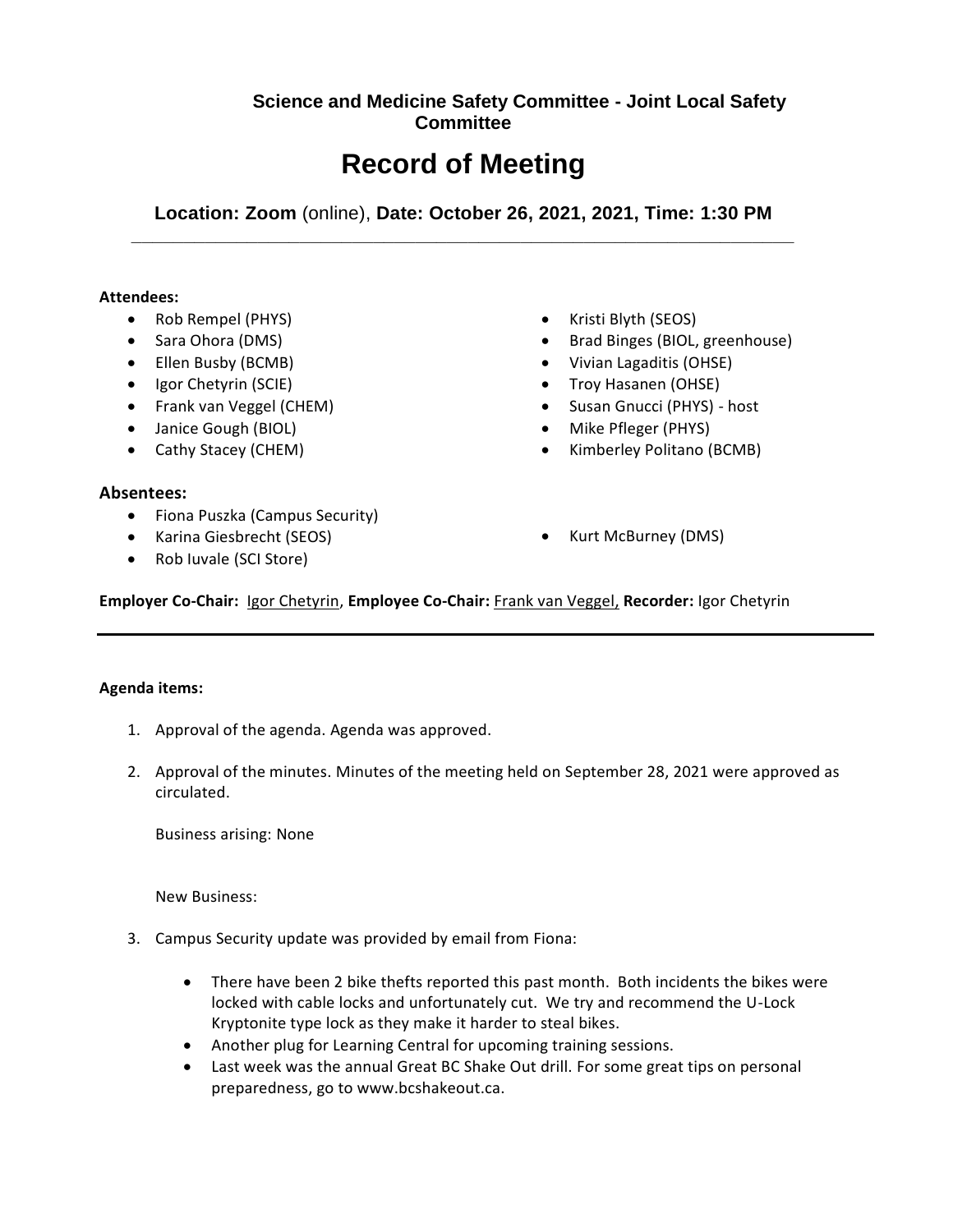## **Science and Medicine Safety Committee - Joint Local Safety Committee**

# **Record of Meeting**

**Location: Zoom** (online), **Date: October 26, 2021, 2021, Time: 1:30 PM \_\_\_\_\_\_\_\_\_\_\_\_\_\_\_\_\_\_\_\_\_\_\_\_\_\_\_\_\_\_\_\_\_\_\_\_\_\_\_\_\_\_\_\_\_\_\_\_\_\_\_\_\_\_\_\_\_\_\_\_\_\_\_**

### **Attendees:**

- Rob Rempel (PHYS)
- Sara Ohora (DMS)
- Ellen Busby (BCMB)
- Igor Chetyrin (SCIE)
- Frank van Veggel (CHEM)
- Janice Gough (BIOL)
- Cathy Stacey (CHEM)
- Kristi Blyth (SEOS)
- Brad Binges (BIOL, greenhouse)
- Vivian Lagaditis (OHSE)
- Troy Hasanen (OHSE)
- Susan Gnucci (PHYS) host
- Mike Pfleger (PHYS)
- Kimberley Politano (BCMB)

### **Absentees:**

- Fiona Puszka (Campus Security)
- Karina Giesbrecht (SEOS)
- Rob Iuvale (SCI Store)

Kurt McBurney (DMS)

**Employer Co-Chair:** Igor Chetyrin, **Employee Co-Chair:** Frank van Veggel, **Recorder:** Igor Chetyrin

### **Agenda items:**

- 1. Approval of the agenda. Agenda was approved.
- 2. Approval of the minutes. Minutes of the meeting held on September 28, 2021 were approved as circulated.

Business arising: None

New Business:

- 3. Campus Security update was provided by email from Fiona:
	- There have been 2 bike thefts reported this past month. Both incidents the bikes were locked with cable locks and unfortunately cut. We try and recommend the U-Lock Kryptonite type lock as they make it harder to steal bikes.
	- Another plug for Learning Central for upcoming training sessions.
	- Last week was the annual Great BC Shake Out drill. For some great tips on personal preparedness, go to www.bcshakeout.ca.